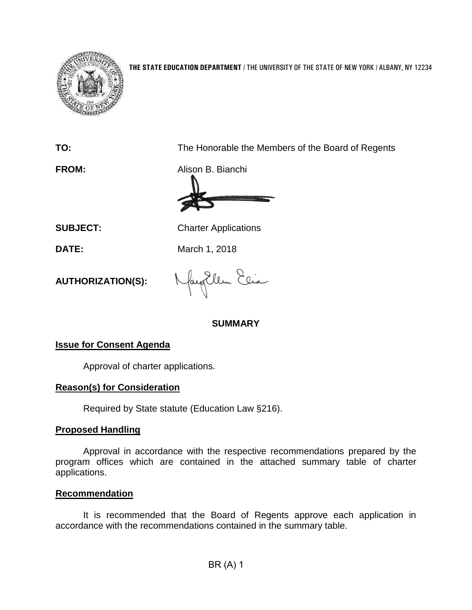

**THE STATE EDUCATION DEPARTMENT** / THE UNIVERSITY OF THE STATE OF NEW YORK / ALBANY, NY 12234

**TO:** The Honorable the Members of the Board of Regents

**FROM:** Alison B. Bianchi

**SUBJECT:** Charter Applications

**DATE:** March 1, 2018

**AUTHORIZATION(S):**

fayillem Elia

### **SUMMARY**

### **Issue for Consent Agenda**

Approval of charter applications.

## **Reason(s) for Consideration**

Required by State statute (Education Law §216).

### **Proposed Handling**

Approval in accordance with the respective recommendations prepared by the program offices which are contained in the attached summary table of charter applications.

### **Recommendation**

It is recommended that the Board of Regents approve each application in accordance with the recommendations contained in the summary table.